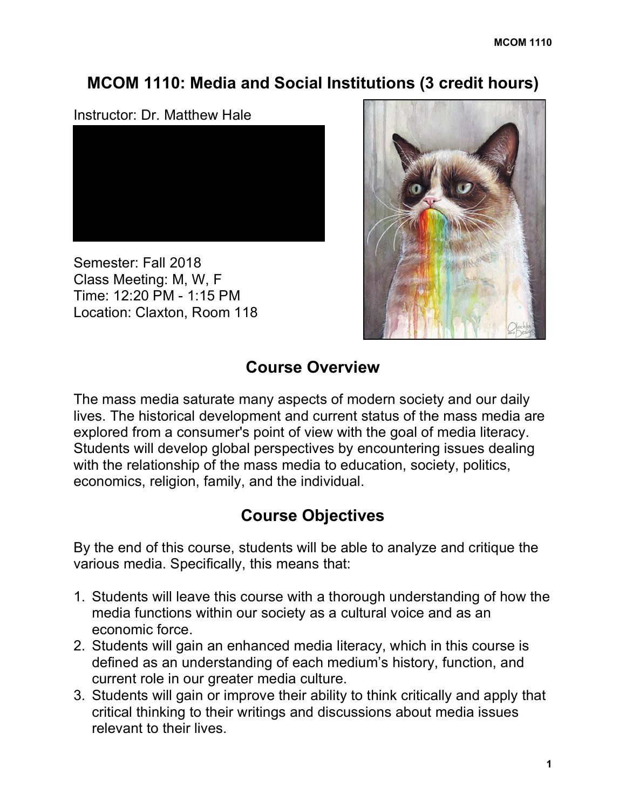# **MCOM 1110: Media and Social Institutions (3 credit hours)**

### Instructor: Dr. Matthew Hale



Semester: Fall 2018 Class Meeting: M, W, F Time: 12:20 PM - 1:15 PM Location: Claxton, Room 118



# **Course Overview**

The mass media saturate many aspects of modern society and our daily lives. The historical development and current status of the mass media are explored from a consumer's point of view with the goal of media literacy. Students will develop global perspectives by encountering issues dealing with the relationship of the mass media to education, society, politics, economics, religion, family, and the individual.

# **Course Objectives**

By the end of this course, students will be able to analyze and critique the various media. Specifically, this means that:

- 1. Students will leave this course with a thorough understanding of how the media functions within our society as a cultural voice and as an economic force.
- 2. Students will gain an enhanced media literacy, which in this course is defined as an understanding of each medium's history, function, and current role in our greater media culture.
- 3. Students will gain or improve their ability to think critically and apply that critical thinking to their writings and discussions about media issues relevant to their lives.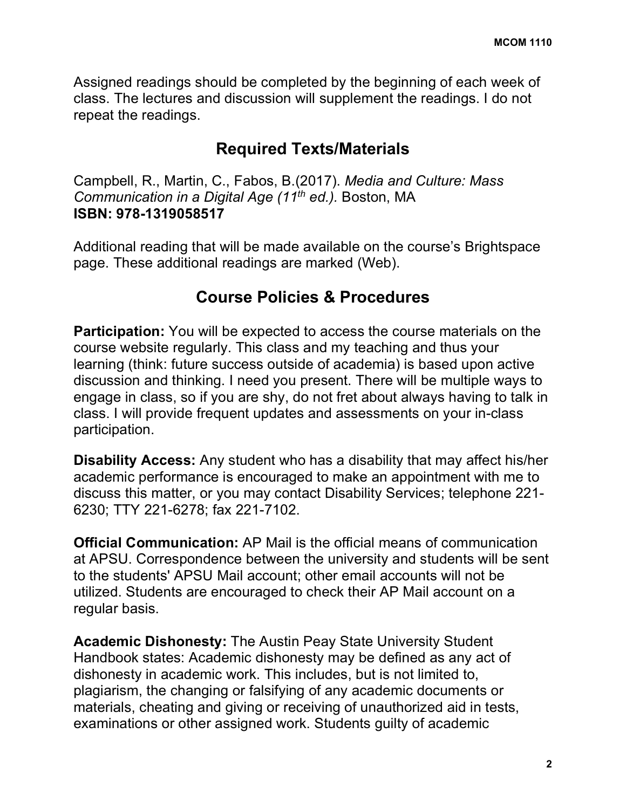Assigned readings should be completed by the beginning of each week of class. The lectures and discussion will supplement the readings. I do not repeat the readings.

# **Required Texts/Materials**

Campbell, R., Martin, C., Fabos, B.(2017). *Media and Culture: Mass Communication in a Digital Age (11th ed.).* Boston, MA **ISBN: 978-1319058517**

Additional reading that will be made available on the course's Brightspace page. These additional readings are marked (Web).

# **Course Policies & Procedures**

**Participation:** You will be expected to access the course materials on the course website regularly. This class and my teaching and thus your learning (think: future success outside of academia) is based upon active discussion and thinking. I need you present. There will be multiple ways to engage in class, so if you are shy, do not fret about always having to talk in class. I will provide frequent updates and assessments on your in-class participation.

**Disability Access:** Any student who has a disability that may affect his/her academic performance is encouraged to make an appointment with me to discuss this matter, or you may contact Disability Services; telephone 221- 6230; TTY 221-6278; fax 221-7102.

**Official Communication:** AP Mail is the official means of communication at APSU. Correspondence between the university and students will be sent to the students' APSU Mail account; other email accounts will not be utilized. Students are encouraged to check their AP Mail account on a regular basis.

**Academic Dishonesty:** The Austin Peay State University Student Handbook states: Academic dishonesty may be defined as any act of dishonesty in academic work. This includes, but is not limited to, plagiarism, the changing or falsifying of any academic documents or materials, cheating and giving or receiving of unauthorized aid in tests, examinations or other assigned work. Students guilty of academic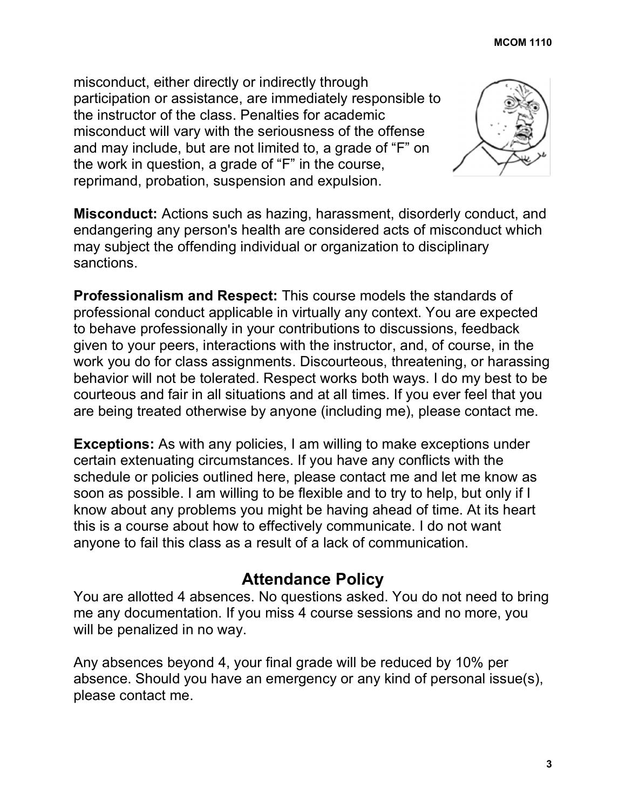misconduct, either directly or indirectly through participation or assistance, are immediately responsible to the instructor of the class. Penalties for academic misconduct will vary with the seriousness of the offense and may include, but are not limited to, a grade of "F" on the work in question, a grade of "F" in the course, reprimand, probation, suspension and expulsion.



**Misconduct:** Actions such as hazing, harassment, disorderly conduct, and endangering any person's health are considered acts of misconduct which may subject the offending individual or organization to disciplinary sanctions.

**Professionalism and Respect:** This course models the standards of professional conduct applicable in virtually any context. You are expected to behave professionally in your contributions to discussions, feedback given to your peers, interactions with the instructor, and, of course, in the work you do for class assignments. Discourteous, threatening, or harassing behavior will not be tolerated. Respect works both ways. I do my best to be courteous and fair in all situations and at all times. If you ever feel that you are being treated otherwise by anyone (including me), please contact me.

**Exceptions:** As with any policies, I am willing to make exceptions under certain extenuating circumstances. If you have any conflicts with the schedule or policies outlined here, please contact me and let me know as soon as possible. I am willing to be flexible and to try to help, but only if I know about any problems you might be having ahead of time. At its heart this is a course about how to effectively communicate. I do not want anyone to fail this class as a result of a lack of communication.

## **Attendance Policy**

You are allotted 4 absences. No questions asked. You do not need to bring me any documentation. If you miss 4 course sessions and no more, you will be penalized in no way.

Any absences beyond 4, your final grade will be reduced by 10% per absence. Should you have an emergency or any kind of personal issue(s), please contact me.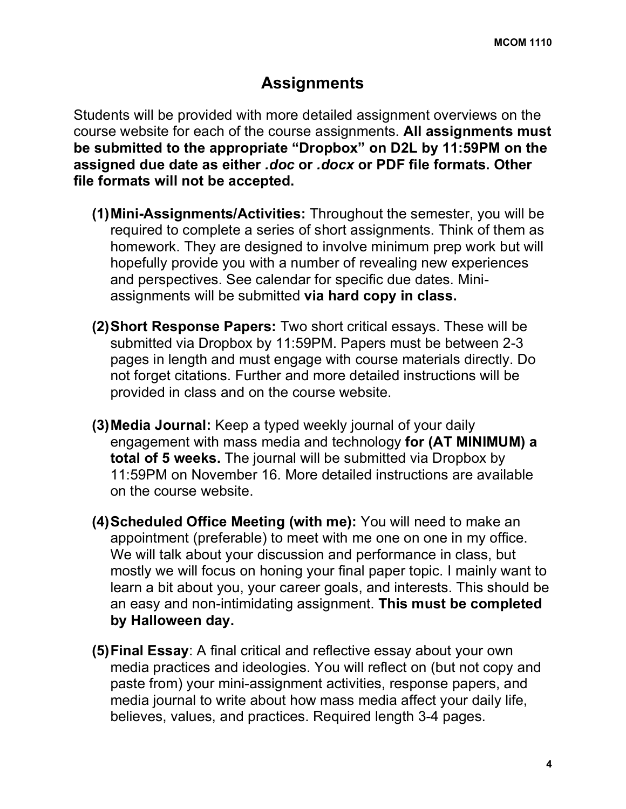## **Assignments**

Students will be provided with more detailed assignment overviews on the course website for each of the course assignments. **All assignments must be submitted to the appropriate "Dropbox" on D2L by 11:59PM on the assigned due date as either** *.doc* **or** *.docx* **or PDF file formats. Other file formats will not be accepted.**

- **(1)Mini-Assignments/Activities:** Throughout the semester, you will be required to complete a series of short assignments. Think of them as homework. They are designed to involve minimum prep work but will hopefully provide you with a number of revealing new experiences and perspectives. See calendar for specific due dates. Miniassignments will be submitted **via hard copy in class.**
- **(2)Short Response Papers:** Two short critical essays. These will be submitted via Dropbox by 11:59PM. Papers must be between 2-3 pages in length and must engage with course materials directly. Do not forget citations. Further and more detailed instructions will be provided in class and on the course website.
- **(3)Media Journal:** Keep a typed weekly journal of your daily engagement with mass media and technology **for (AT MINIMUM) a total of 5 weeks.** The journal will be submitted via Dropbox by 11:59PM on November 16. More detailed instructions are available on the course website.
- **(4)Scheduled Office Meeting (with me):** You will need to make an appointment (preferable) to meet with me one on one in my office. We will talk about your discussion and performance in class, but mostly we will focus on honing your final paper topic. I mainly want to learn a bit about you, your career goals, and interests. This should be an easy and non-intimidating assignment. **This must be completed by Halloween day.**
- **(5)Final Essay**: A final critical and reflective essay about your own media practices and ideologies. You will reflect on (but not copy and paste from) your mini-assignment activities, response papers, and media journal to write about how mass media affect your daily life, believes, values, and practices. Required length 3-4 pages.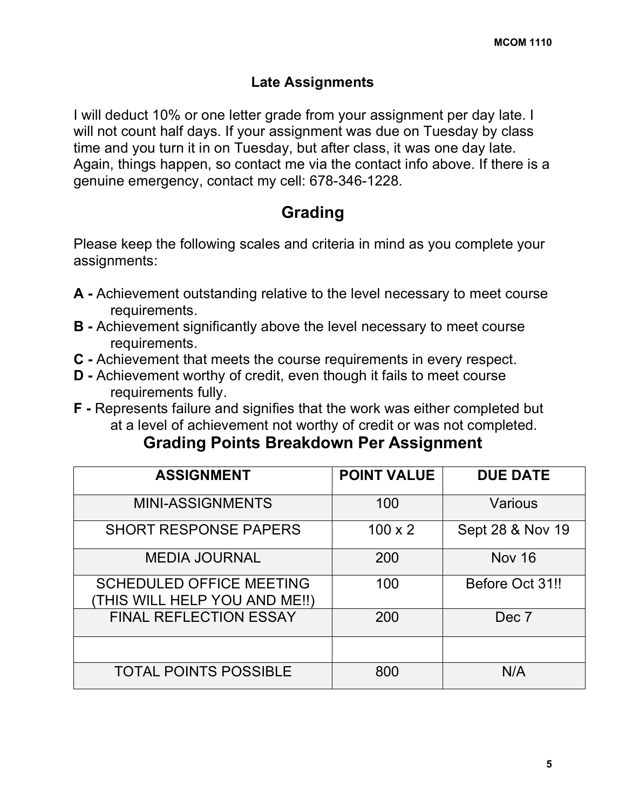### **Late Assignments**

I will deduct 10% or one letter grade from your assignment per day late. I will not count half days. If your assignment was due on Tuesday by class time and you turn it in on Tuesday, but after class, it was one day late. Again, things happen, so contact me via the contact info above. If there is a genuine emergency, contact my cell: 678-346-1228.

## **Grading**

Please keep the following scales and criteria in mind as you complete your assignments:

- **A -** Achievement outstanding relative to the level necessary to meet course requirements.
- **B -** Achievement significantly above the level necessary to meet course requirements.
- **C -** Achievement that meets the course requirements in every respect.
- **D -** Achievement worthy of credit, even though it fails to meet course requirements fully.
- **F -** Represents failure and signifies that the work was either completed but at a level of achievement not worthy of credit or was not completed.

## **Grading Points Breakdown Per Assignment**

| <b>ASSIGNMENT</b>                                                | <b>POINT VALUE</b> | <b>DUE DATE</b>  |
|------------------------------------------------------------------|--------------------|------------------|
| <b>MINI-ASSIGNMENTS</b>                                          | 100                | Various          |
| <b>SHORT RESPONSE PAPERS</b>                                     | $100 \times 2$     | Sept 28 & Nov 19 |
| <b>MEDIA JOURNAL</b>                                             | 200                | <b>Nov 16</b>    |
| <b>SCHEDULED OFFICE MEETING</b><br>(THIS WILL HELP YOU AND ME!!) | 100                | Before Oct 31!!  |
| <b>FINAL REFLECTION ESSAY</b>                                    | 200                | Dec 7            |
|                                                                  |                    |                  |
| <b>TOTAL POINTS POSSIBLE</b>                                     | 800                | N/A              |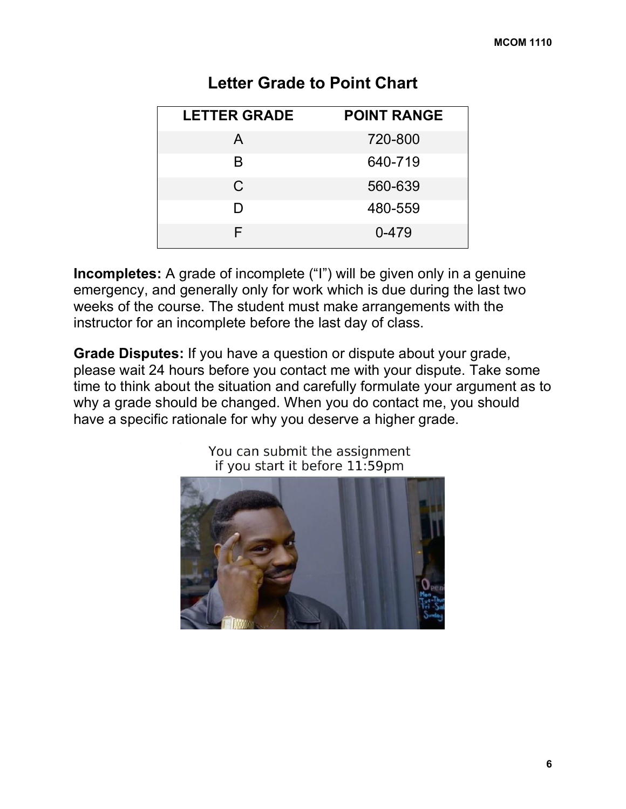| <b>LETTER GRADE</b> | <b>POINT RANGE</b> |
|---------------------|--------------------|
| A                   | 720-800            |
| B                   | 640-719            |
| C.                  | 560-639            |
| D                   | 480-559            |
| F                   | 0-479              |

### **Letter Grade to Point Chart**

**Incompletes:** A grade of incomplete ("I") will be given only in a genuine emergency, and generally only for work which is due during the last two weeks of the course. The student must make arrangements with the instructor for an incomplete before the last day of class.

**Grade Disputes:** If you have a question or dispute about your grade, please wait 24 hours before you contact me with your dispute. Take some time to think about the situation and carefully formulate your argument as to why a grade should be changed. When you do contact me, you should have a specific rationale for why you deserve a higher grade.



You can submit the assignment if you start it before 11:59pm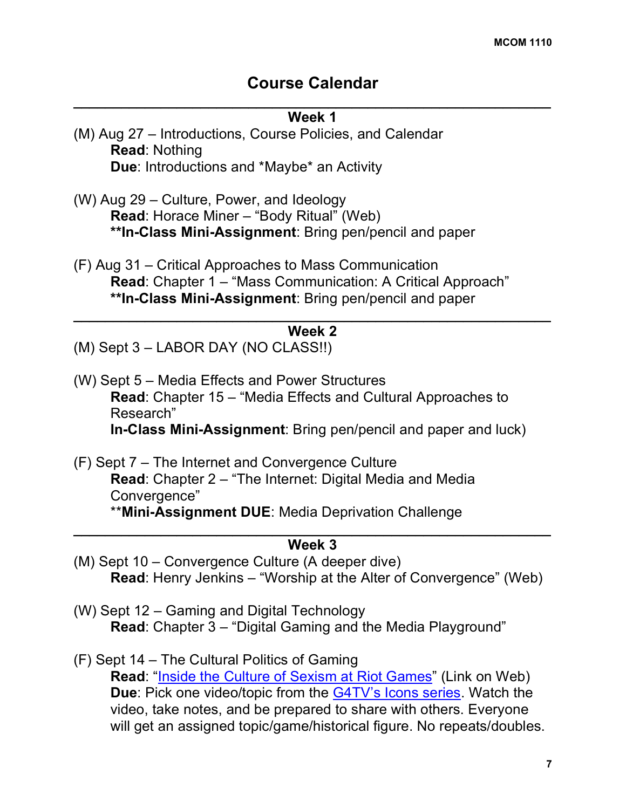### **Course Calendar**

# $\mathcal{L}_\text{max} = \mathcal{L}_\text{max} = \mathcal{L}_\text{max} = \mathcal{L}_\text{max} = \mathcal{L}_\text{max} = \mathcal{L}_\text{max} = \mathcal{L}_\text{max} = \mathcal{L}_\text{max} = \mathcal{L}_\text{max} = \mathcal{L}_\text{max} = \mathcal{L}_\text{max} = \mathcal{L}_\text{max} = \mathcal{L}_\text{max} = \mathcal{L}_\text{max} = \mathcal{L}_\text{max} = \mathcal{L}_\text{max} = \mathcal{L}_\text{max} = \mathcal{L}_\text{max} = \mathcal{$ **Week 1** (M) Aug 27 – Introductions, Course Policies, and Calendar **Read**: Nothing **Due**: Introductions and \*Maybe\* an Activity (W) Aug 29 – Culture, Power, and Ideology **Read**: Horace Miner – "Body Ritual" (Web) **\*\*In-Class Mini-Assignment**: Bring pen/pencil and paper (F) Aug 31 – Critical Approaches to Mass Communication

**Read**: Chapter 1 – "Mass Communication: A Critical Approach" **\*\*In-Class Mini-Assignment**: Bring pen/pencil and paper  $\mathcal{L}_\text{max} = \mathcal{L}_\text{max} = \mathcal{L}_\text{max} = \mathcal{L}_\text{max} = \mathcal{L}_\text{max} = \mathcal{L}_\text{max} = \mathcal{L}_\text{max} = \mathcal{L}_\text{max} = \mathcal{L}_\text{max} = \mathcal{L}_\text{max} = \mathcal{L}_\text{max} = \mathcal{L}_\text{max} = \mathcal{L}_\text{max} = \mathcal{L}_\text{max} = \mathcal{L}_\text{max} = \mathcal{L}_\text{max} = \mathcal{L}_\text{max} = \mathcal{L}_\text{max} = \mathcal{$ 

### **Week 2**

(M) Sept 3 – LABOR DAY (NO CLASS!!)

- (W) Sept 5 Media Effects and Power Structures **Read**: Chapter 15 – "Media Effects and Cultural Approaches to Research" **In-Class Mini-Assignment**: Bring pen/pencil and paper and luck)
- (F) Sept 7 The Internet and Convergence Culture **Read**: Chapter 2 – "The Internet: Digital Media and Media Convergence" \*\***Mini-Assignment DUE**: Media Deprivation Challenge  $\mathcal{L}_\text{max} = \mathcal{L}_\text{max} = \mathcal{L}_\text{max} = \mathcal{L}_\text{max} = \mathcal{L}_\text{max} = \mathcal{L}_\text{max} = \mathcal{L}_\text{max} = \mathcal{L}_\text{max} = \mathcal{L}_\text{max} = \mathcal{L}_\text{max} = \mathcal{L}_\text{max} = \mathcal{L}_\text{max} = \mathcal{L}_\text{max} = \mathcal{L}_\text{max} = \mathcal{L}_\text{max} = \mathcal{L}_\text{max} = \mathcal{L}_\text{max} = \mathcal{L}_\text{max} = \mathcal{$

### **Week 3**

- (M) Sept 10 Convergence Culture (A deeper dive) **Read**: Henry Jenkins – "Worship at the Alter of Convergence" (Web)
- (W) Sept 12 Gaming and Digital Technology **Read**: Chapter 3 – "Digital Gaming and the Media Playground"
- (F) Sept 14 The Cultural Politics of Gaming **Read**: "Inside the Culture of Sexism at Riot Games" (Link on Web) **Due**: Pick one video/topic from the G4TV's Icons series. Watch the video, take notes, and be prepared to share with others. Everyone will get an assigned topic/game/historical figure. No repeats/doubles.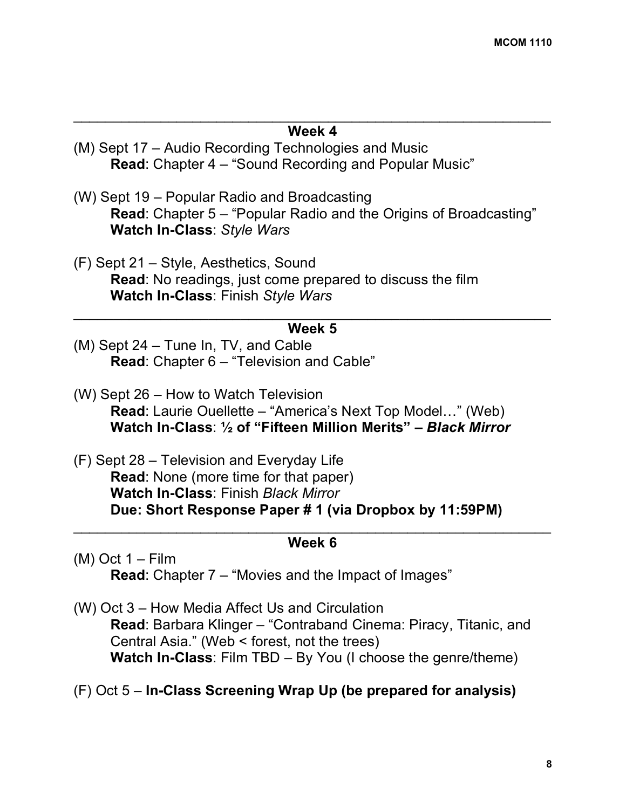### $\mathcal{L}_\text{max}$  , and the contract of the contract of the contract of the contract of the contract of the contract of the contract of the contract of the contract of the contract of the contract of the contract of the contr **Week 4**

- (M) Sept 17 Audio Recording Technologies and Music **Read**: Chapter 4 – "Sound Recording and Popular Music"
- (W) Sept 19 Popular Radio and Broadcasting **Read**: Chapter 5 – "Popular Radio and the Origins of Broadcasting" **Watch In-Class**: *Style Wars*
- (F) Sept 21 Style, Aesthetics, Sound **Read**: No readings, just come prepared to discuss the film **Watch In-Class**: Finish *Style Wars*

### $\mathcal{L}_\text{max}$  , and the contract of the contract of the contract of the contract of the contract of the contract of the contract of the contract of the contract of the contract of the contract of the contract of the contr **Week 5**

- (M) Sept 24 Tune In, TV, and Cable **Read**: Chapter 6 – "Television and Cable"
- (W) Sept 26 How to Watch Television **Read**: Laurie Ouellette – "America's Next Top Model…" (Web) **Watch In-Class**: **½ of "Fifteen Million Merits" –** *Black Mirror*
- (F) Sept 28 Television and Everyday Life **Read**: None (more time for that paper) **Watch In-Class**: Finish *Black Mirror* **Due: Short Response Paper # 1 (via Dropbox by 11:59PM)**

### $\_$  , and the contribution of the contribution of  $\mathcal{L}_\mathcal{A}$ **Week 6**

 $(M)$  Oct 1 – Film **Read**: Chapter 7 – "Movies and the Impact of Images"

(W) Oct 3 – How Media Affect Us and Circulation **Read**: Barbara Klinger – "Contraband Cinema: Piracy, Titanic, and Central Asia." (Web < forest, not the trees) **Watch In-Class**: Film TBD – By You (I choose the genre/theme)

(F) Oct 5 – **In-Class Screening Wrap Up (be prepared for analysis)**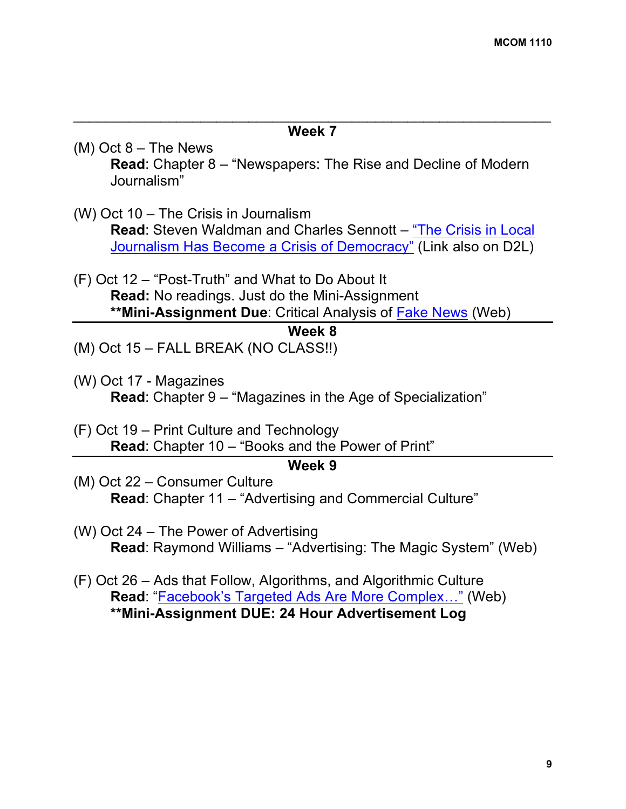#### $\mathcal{L}_\text{max}$  , and the contract of the contract of the contract of the contract of the contract of the contract of the contract of the contract of the contract of the contract of the contract of the contract of the contr **Week 7**

- (M) Oct 8 The News **Read**: Chapter 8 – "Newspapers: The Rise and Decline of Modern Journalism"
- (W) Oct 10 The Crisis in Journalism **Read**: Steven Waldman and Charles Sennott – "The Crisis in Local Journalism Has Become a Crisis of Democracy" (Link also on D2L)
- (F) Oct 12 "Post-Truth" and What to Do About It **Read:** No readings. Just do the Mini-Assignment **\*\*Mini-Assignment Due**: Critical Analysis of Fake News (Web)

#### **Week 8**

- (M) Oct 15 FALL BREAK (NO CLASS!!)
- (W) Oct 17 Magazines **Read**: Chapter 9 – "Magazines in the Age of Specialization"
- (F) Oct 19 Print Culture and Technology **Read**: Chapter 10 – "Books and the Power of Print"

#### **Week 9**

- (M) Oct 22 Consumer Culture **Read**: Chapter 11 – "Advertising and Commercial Culture"
- (W) Oct 24 The Power of Advertising **Read**: Raymond Williams – "Advertising: The Magic System" (Web)
- (F) Oct 26 Ads that Follow, Algorithms, and Algorithmic Culture **Read**: "Facebook's Targeted Ads Are More Complex…" (Web) **\*\*Mini-Assignment DUE: 24 Hour Advertisement Log**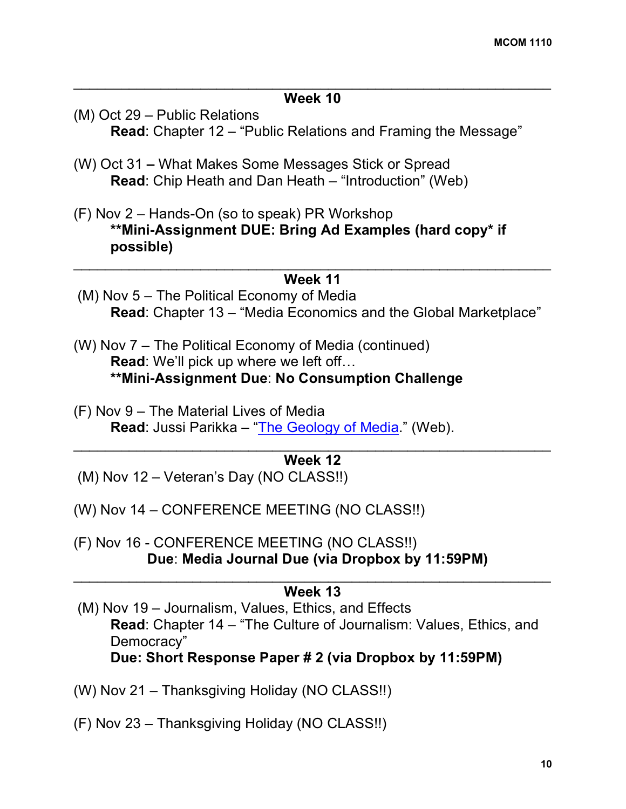### $\mathcal{L}_\text{max}$  , and the contribution of the contribution of the contribution of the contribution of the contribution of the contribution of the contribution of the contribution of the contribution of the contribution of t **Week 10**

- (M) Oct 29 Public Relations **Read**: Chapter 12 – "Public Relations and Framing the Message"
- (W) Oct 31 **–** What Makes Some Messages Stick or Spread **Read**: Chip Heath and Dan Heath – "Introduction" (Web)
- (F) Nov 2 Hands-On (so to speak) PR Workshop **\*\*Mini-Assignment DUE: Bring Ad Examples (hard copy\* if possible)**

#### $\mathcal{L}_\text{max}$  and  $\mathcal{L}_\text{max}$  and  $\mathcal{L}_\text{max}$  and  $\mathcal{L}_\text{max}$  and  $\mathcal{L}_\text{max}$  and  $\mathcal{L}_\text{max}$ **Week 11**

- (M) Nov 5 The Political Economy of Media **Read**: Chapter 13 – "Media Economics and the Global Marketplace"
- (W) Nov 7 The Political Economy of Media (continued) **Read**: We'll pick up where we left off… **\*\*Mini-Assignment Due**: **No Consumption Challenge**
- (F) Nov 9 The Material Lives of Media **Read**: Jussi Parikka – "The Geology of Media." (Web).

#### $\mathcal{L}_\text{max}$  and  $\mathcal{L}_\text{max}$  and  $\mathcal{L}_\text{max}$  and  $\mathcal{L}_\text{max}$  and  $\mathcal{L}_\text{max}$  and  $\mathcal{L}_\text{max}$ **Week 12**

- (M) Nov 12 Veteran's Day (NO CLASS!!)
- (W) Nov 14 CONFERENCE MEETING (NO CLASS!!)
- (F) Nov 16 CONFERENCE MEETING (NO CLASS!!) **Due**: **Media Journal Due (via Dropbox by 11:59PM)**

### $\mathcal{L}_\text{max}$  and  $\mathcal{L}_\text{max}$  and  $\mathcal{L}_\text{max}$  and  $\mathcal{L}_\text{max}$  and  $\mathcal{L}_\text{max}$  and  $\mathcal{L}_\text{max}$ **Week 13**

(M) Nov 19 – Journalism, Values, Ethics, and Effects **Read**: Chapter 14 – "The Culture of Journalism: Values, Ethics, and Democracy"

**Due: Short Response Paper # 2 (via Dropbox by 11:59PM)**

(W) Nov 21 – Thanksgiving Holiday (NO CLASS!!)

(F) Nov 23 – Thanksgiving Holiday (NO CLASS!!)